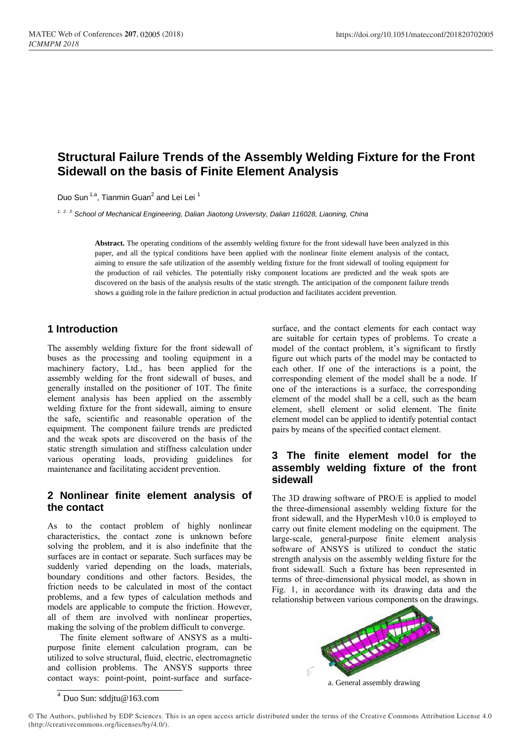# **Structural Failure Trends of the Assembly Welding Fixture for the Front Sidewall on the basis of Finite Element Analysis**

Duo Sun<sup>1,a</sup>, Tianmin Guan<sup>2</sup> and Lei Lei<sup>1</sup>

*1*,*2*,*3 School of Mechanical Engineering, Dalian Jiaotong University, Dalian 116028, Liaoning, China*

**Abstract.** The operating conditions of the assembly welding fixture for the front sidewall have been analyzed in this paper, and all the typical conditions have been applied with the nonlinear finite element analysis of the contact, aiming to ensure the safe utilization of the assembly welding fixture for the front sidewall of tooling equipment for the production of rail vehicles. The potentially risky component locations are predicted and the weak spots are discovered on the basis of the analysis results of the static strength. The anticipation of the component failure trends shows a guiding role in the failure prediction in actual production and facilitates accident prevention.

### **1 Introduction**

The assembly welding fixture for the front sidewall of buses as the processing and tooling equipment in a machinery factory, Ltd., has been applied for the assembly welding for the front sidewall of buses, and generally installed on the positioner of 10T. The finite element analysis has been applied on the assembly welding fixture for the front sidewall, aiming to ensure the safe, scientific and reasonable operation of the equipment. The component failure trends are predicted and the weak spots are discovered on the basis of the static strength simulation and stiffness calculation under various operating loads, providing guidelines for maintenance and facilitating accident prevention.

### **2 Nonlinear finite element analysis of the contact**

As to the contact problem of highly nonlinear characteristics, the contact zone is unknown before solving the problem, and it is also indefinite that the surfaces are in contact or separate. Such surfaces may be suddenly varied depending on the loads, materials, boundary conditions and other factors. Besides, the friction needs to be calculated in most of the contact problems, and a few types of calculation methods and models are applicable to compute the friction. However, all of them are involved with nonlinear properties, making the solving of the problem difficult to converge.

The finite element software of ANSYS as a multipurpose finite element calculation program, can be utilized to solve structural, fluid, electric, electromagnetic and collision problems. The ANSYS supports three contact ways: point-point, point-surface and surface-

surface, and the contact elements for each contact way are suitable for certain types of problems. To create a model of the contact problem, it's significant to firstly figure out which parts of the model may be contacted to each other. If one of the interactions is a point, the corresponding element of the model shall be a node. If one of the interactions is a surface, the corresponding element of the model shall be a cell, such as the beam element, shell element or solid element. The finite element model can be applied to identify potential contact pairs by means of the specified contact element.

### **3 The finite element model for the assembly welding fixture of the front sidewall**

The 3D drawing software of PRO/E is applied to model the three-dimensional assembly welding fixture for the front sidewall, and the HyperMesh v10.0 is employed to carry out finite element modeling on the equipment. The large-scale, general-purpose finite element analysis software of ANSYS is utilized to conduct the static strength analysis on the assembly welding fixture for the front sidewall. Such a fixture has been represented in terms of three-dimensional physical model, as shown in Fig. 1, in accordance with its drawing data and the relationship between various components on the drawings.



a. General assembly drawing

 $a$  Duo Sun: sddjtu@163.com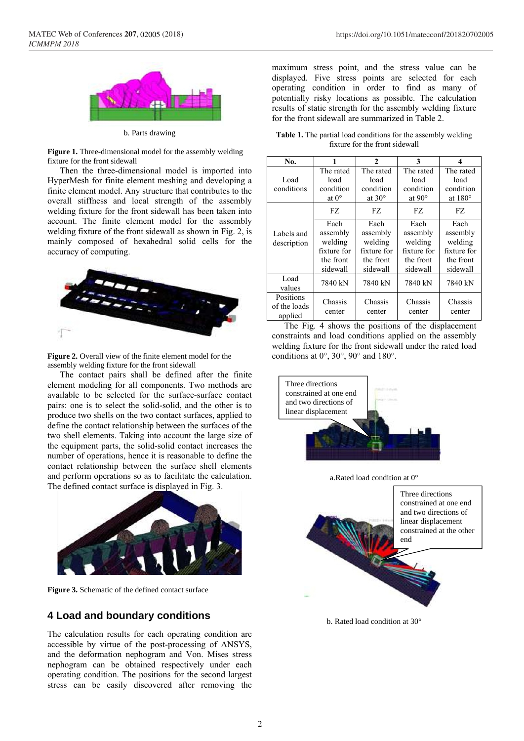

b. Parts drawing

**Figure 1.** Three-dimensional model for the assembly welding fixture for the front sidewall

Then the three-dimensional model is imported into HyperMesh for finite element meshing and developing a finite element model. Any structure that contributes to the overall stiffness and local strength of the assembly welding fixture for the front sidewall has been taken into account. The finite element model for the assembly welding fixture of the front sidewall as shown in Fig. 2, is mainly composed of hexahedral solid cells for the accuracy of computing.



**Figure 2.** Overall view of the finite element model for the assembly welding fixture for the front sidewall

The contact pairs shall be defined after the finite element modeling for all components. Two methods are available to be selected for the surface-surface contact pairs: one is to select the solid-solid, and the other is to produce two shells on the two contact surfaces, applied to define the contact relationship between the surfaces of the two shell elements. Taking into account the large size of the equipment parts, the solid-solid contact increases the number of operations, hence it is reasonable to define the contact relationship between the surface shell elements and perform operations so as to facilitate the calculation. The defined contact surface is displayed in Fig. 3.



**Figure 3.** Schematic of the defined contact surface

#### **4 Load and boundary conditions**

The calculation results for each operating condition are accessible by virtue of the post-processing of ANSYS, and the deformation nephogram and Von. Mises stress nephogram can be obtained respectively under each operating condition. The positions for the second largest stress can be easily discovered after removing the maximum stress point, and the stress value can be displayed. Five stress points are selected for each operating condition in order to find as many of potentially risky locations as possible. The calculation results of static strength for the assembly welding fixture for the front sidewall are summarized in Table 2.

**Table 1.** The partial load conditions for the assembly welding fixture for the front sidewall

| No.                                  |                                                                     | $\mathbf{2}$                                                        | 3                                                                   | 4                                                                   |
|--------------------------------------|---------------------------------------------------------------------|---------------------------------------------------------------------|---------------------------------------------------------------------|---------------------------------------------------------------------|
| Load<br>conditions                   | The rated<br>load<br>condition<br>at $0^{\circ}$                    | The rated<br>load<br>condition<br>at $30^\circ$                     | The rated<br>load<br>condition<br>at $90^\circ$                     | The rated<br>load<br>condition<br>at $180^\circ$                    |
|                                      | FZ.                                                                 | FZ.                                                                 | FZ.                                                                 | FZ.                                                                 |
| Labels and<br>description            | Each<br>assembly<br>welding<br>fixture for<br>the front<br>sidewall | Each<br>assembly<br>welding<br>fixture for<br>the front<br>sidewall | Each<br>assembly<br>welding<br>fixture for<br>the front<br>sidewall | Each<br>assembly<br>welding<br>fixture for<br>the front<br>sidewall |
| Load<br>values                       | 7840 kN                                                             | 7840 kN                                                             | 7840 kN                                                             | 7840 kN                                                             |
| Positions<br>of the loads<br>applied | Chassis<br>center                                                   | Chassis<br>center                                                   | Chassis<br>center                                                   | Chassis<br>center                                                   |

The Fig. 4 shows the positions of the displacement constraints and load conditions applied on the assembly welding fixture for the front sidewall under the rated load conditions at  $0^\circ$ ,  $30^\circ$ ,  $90^\circ$  and  $180^\circ$ .



a.Rated load condition at 0°



b. Rated load condition at 30°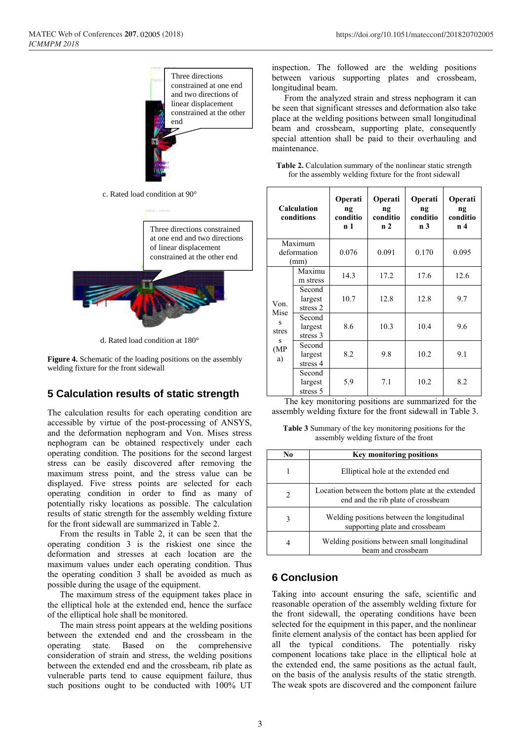

c. Rated load condition at 90°

Three directions constrained at one end and two directions of linear displacement constrained at the other end



d. Rated load condition at 180°

**Figure 4.** Schematic of the loading positions on the assembly welding fixture for the front sidewall

# **5 Calculation results of static strength**

The calculation results for each operating condition are accessible by virtue of the post-processing of ANSYS, and the deformation nephogram and Von. Mises stress nephogram can be obtained respectively under each operating condition. The positions for the second largest stress can be easily discovered after removing the maximum stress point, and the stress value can be displayed. Five stress points are selected for each operating condition in order to find as many of potentially risky locations as possible. The calculation results of static strength for the assembly welding fixture for the front sidewall are summarized in Table 2.

From the results in Table 2, it can be seen that the operating condition 3 is the riskiest one since the deformation and stresses at each location are the maximum values under each operating condition. Thus the operating condition 3 shall be avoided as much as possible during the usage of the equipment.

The maximum stress of the equipment takes place in the elliptical hole at the extended end, hence the surface of the elliptical hole shall be monitored.

The main stress point appears at the welding positions between the extended end and the crossbeam in the operating state. Based on the comprehensive consideration of strain and stress, the welding positions between the extended end and the crossbeam, rib plate as vulnerable parts tend to cause equipment failure, thus such positions ought to be conducted with 100% UT

inspection. The followed are the welding positions between various supporting plates and crossbeam, longitudinal beam.

From the analyzed strain and stress nephogram it can be seen that significant stresses and deformation also take place at the welding positions between small longitudinal beam and crossbeam, supporting plate, consequently special attention shall be paid to their overhauling and maintenance.

| <b>Table 2.</b> Calculation summary of the nonlinear static strength |  |  |  |
|----------------------------------------------------------------------|--|--|--|
| for the assembly welding fixture for the front sidewall              |  |  |  |

| Calculation<br>conditions                     |                                | Operati<br>ng<br>conditio<br>n 1 | Operati<br>ng<br>conditio<br>n <sub>2</sub> | Operati<br>ng<br>conditio<br>n <sub>3</sub> | Operati<br>ng<br>conditio<br>n <sub>4</sub> |
|-----------------------------------------------|--------------------------------|----------------------------------|---------------------------------------------|---------------------------------------------|---------------------------------------------|
|                                               | Maximum<br>deformation<br>(mm) | 0.076                            | 0.091                                       | 0.170                                       | 0.095                                       |
|                                               | Maximu<br>m stress             | 14.3                             | 17.2                                        | 17.6                                        | 12.6                                        |
| Von.<br>Mise<br>S<br>stres<br>s<br>(MP)<br>a) | Second<br>largest<br>stress 2  | 10.7                             | 12.8                                        | 12.8                                        | 9.7                                         |
|                                               | Second<br>largest<br>stress 3  | 8.6                              | 10.3                                        | 10.4                                        | 9.6                                         |
|                                               | Second<br>largest<br>stress 4  | 8.2                              | 9.8                                         | 10.2                                        | 9.1                                         |
|                                               | Second<br>largest<br>stress 5  | 5.9                              | 7.1                                         | 10.2                                        | 8.2                                         |

The key monitoring positions are summarized for the assembly welding fixture for the front sidewall in Table 3.

**Table 3** Summary of the key monitoring positions for the assembly welding fixture of the front

| No. | <b>Key monitoring positions</b>                                                         |
|-----|-----------------------------------------------------------------------------------------|
|     | Elliptical hole at the extended end                                                     |
| 2   | Location between the bottom plate at the extended<br>end and the rib plate of crossbeam |
| 3   | Welding positions between the longitudinal<br>supporting plate and crossbeam            |
| 4   | Welding positions between small longitudinal<br>beam and crossbeam                      |

# **6 Conclusion**

Taking into account ensuring the safe, scientific and reasonable operation of the assembly welding fixture for the front sidewall, the operating conditions have been selected for the equipment in this paper, and the nonlinear finite element analysis of the contact has been applied for all the typical conditions. The potentially risky component locations take place in the elliptical hole at the extended end, the same positions as the actual fault, on the basis of the analysis results of the static strength. The weak spots are discovered and the component failure